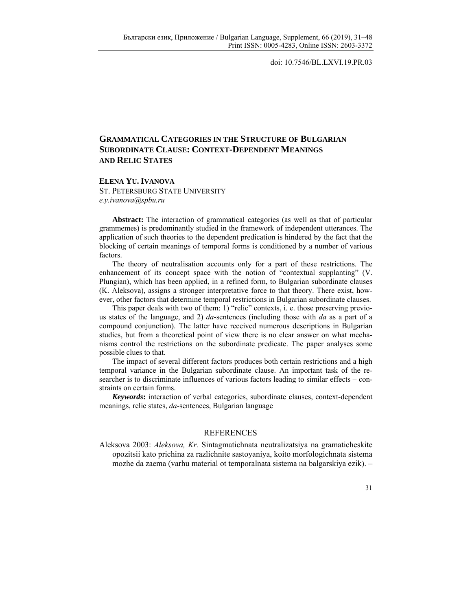doi: 10.7546/BL.LXVI.19.PR.03

## **GRAMMATICAL CATEGORIES IN THE STRUCTURE OF BULGARIAN SUBORDINATE CLAUSE: CONTEXT-DEPENDENT MEANINGS AND RELIC STATES**

**ELENA YU. IVANOVA**

ST. PETERSBURG STATE UNIVERSITY *e.y.ivanova@spbu.ru*

**Abstract:** The interaction of grammatical categories (as well as that of particular grammemes) is predominantly studied in the framework of independent utterances. The application of such theories to the dependent predication is hindered by the fact that the blocking of certain meanings of temporal forms is conditioned by a number of various factors.

The theory of neutralisation accounts only for a part of these restrictions. The enhancement of its concept space with the notion of "contextual supplanting" (V. Plungian), which has been applied, in a refined form, to Bulgarian subordinate clauses (K. Aleksova), assigns a stronger interpretative force to that theory. There exist, however, other factors that determine temporal restrictions in Bulgarian subordinate clauses.

This paper deals with two of them: 1) "relic" contexts, i. e. those preserving previous states of the language, and 2) *da*-sentences (including those with *da* as a part of a compound conjunction). The latter have received numerous descriptions in Bulgarian studies, but from a theoretical point of view there is no clear answer on what mechanisms control the restrictions on the subordinate predicate. The paper analyses some possible clues to that.

The impact of several different factors produces both certain restrictions and a high temporal variance in the Bulgarian subordinate clause. An important task of the researcher is to discriminate influences of various factors leading to similar effects – constraints on certain forms.

*Keywords***:** interaction of verbal categories, subordinate clauses, context-dependent meanings, relic states, *da*-sentences, Bulgarian language

## **REFERENCES**

Aleksova 2003: *Aleksova, Kr.* Sintagmatichnata neutralizatsiya na gramaticheskite opozitsii kato prichina za razlichnite sastoyaniya, koito morfologichnata sistema mozhe da zaema (varhu material ot temporalnata sistema na balgarskiya ezik). –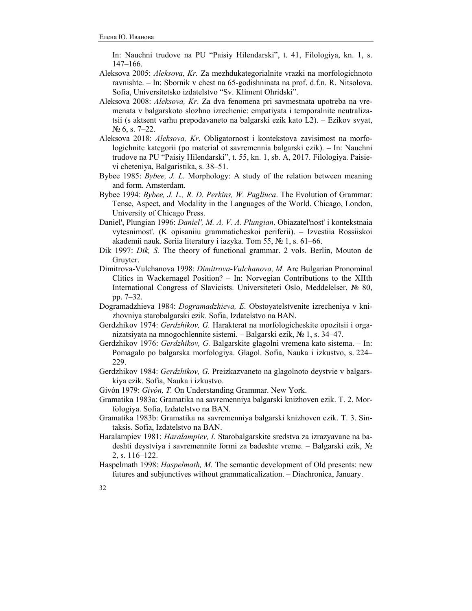In: Nauchni trudove na PU "Paisiy Hilendarski", t. 41, Filologiya, kn. 1, s. 147‒166.

- Aleksova 2005: *Aleksova, Kr.* Za mezhdukategorialnite vrazki na morfologichnoto ravnishte. – In: Sbornik v chest na 65-godishninata na prof. d.f.n. R. Nitsolova. Sofia, Universitetsko izdatelstvo "Sv. Kliment Ohridski".
- Aleksova 2008: *Aleksova, Kr*. Za dva fenomena pri savmestnata upotreba na vremenata v balgarskoto slozhno izrechenie: empatiyata i temporalnite neutralizatsii (s aktsent varhu prepodavaneto na balgarski ezik kato L2). ‒ Ezikov svyat,  $\mathcal{N}$  6, s. 7–22.
- Aleksova 2018: *Aleksova, Kr*. Obligatornost i kontekstova zavisimost na morfologichnite kategorii (po material ot savremennia balgarski ezik). – In: Nauchni trudove na PU "Paisiy Hilendarski", t. 55, kn. 1, sb. A, 2017. Filologiya. Paisievi cheteniya, Balgaristika, s. 38–51.
- Bybee 1985: *Bybee, J. L.* Morphology: A study of the relation between meaning and form. Amsterdam.
- Bybee 1994: *Bybee, J. L., R. D. Perkins, W. Pagliuca*. The Evolution of Grammar: Tense, Aspect, and Modality in the Languages of the World. Chicago, London, University of Chicago Press.
- Daniel', Plungian 1996: *Daniel', M. A, V. A. Plungian*. Obiazatel'nost' i kontekstnaia vytesnimost'. (K opisaniiu grammaticheskoi periferii). ‒ Izvestiia Rossiiskoi akademii nauk. Seriia literatury i iazyka. Tom 55, № 1, s. 61‒66.
- Dik 1997: *Dik, S.* The theory of functional grammar. 2 vols. Berlin, Mouton de Gruyter.
- Dimitrova-Vulchanova 1998: *Dimitrova-Vulchanova, M.* Are Bulgarian Pronominal Clitics in Wackernagel Position? ‒ In: Norvegian Contributions to the XIIth International Congress of Slavicists. Universiteteti Oslo, Meddelelser, № 80, pр. 7‒32.
- Dogramadzhieva 1984: *Dogramadzhieva, E.* Obstoyatelstvenite izrecheniya v knizhovniya starobalgarski ezik. Sofia, Izdatelstvo na BAN.
- Gerdzhikov 1974: *Gerdzhikov, G.* Harakterat na morfologicheskite opozitsii i organizatsiyata na mnogochlennite sistemi. ‒ Balgarski ezik, № 1, s. 34‒47.
- Gerdzhikov 1976: *Gerdzhikov, G.* Balgarskite glagolni vremena kato sistema. In: Pomagalo po balgarska morfologiya. Glagol. Sofia, Nauka i izkustvo, s. 224– 229.
- Gerdzhikov 1984: *Gerdzhikov, G.* Preizkazvaneto na glagolnoto deystvie v balgarskiya ezik. Sofia, Nauka i izkustvo.
- Givón 1979: *Givón, T.* On Understanding Grammar. New York.
- Gramatika 1983a: Gramatika na savremenniya balgarski knizhoven ezik. T. 2. Morfologiya. Sofia, Izdatelstvo na BAN.
- Gramatika 1983b: Gramatika na savremenniya balgarski knizhoven ezik. T. 3. Sintaksis. Sofia, Izdatelstvo na BAN.
- Haralampiev 1981: *Haralampiev, I.* Starobalgarskite sredstva za izrazyavane na badeshti deystviya i savremennite formi za badeshte vreme. ‒ Balgarski ezik, № 2, s. 116‒122.
- Haspelmath 1998: *Haspelmath, М.* The semantic development of Old presents: new futures and subjunctives without grammaticalization. ‒ Diachronica, January.
- 32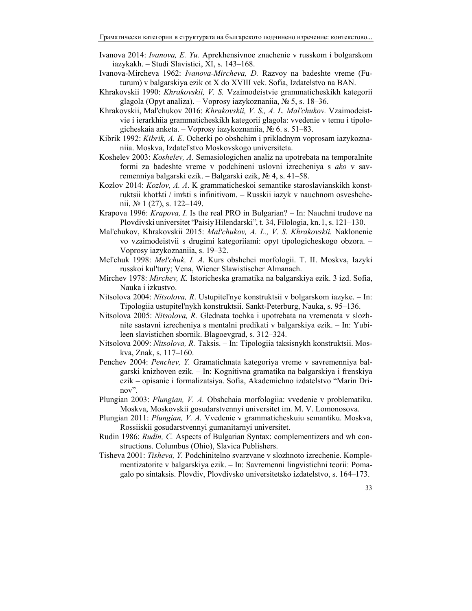- Ivanova 2014: *Ivanova, E. Yu.* Aprekhensivnoe znachenie v russkom i bolgarskom iazykakh. – Studi Slavistici, XI, s. 143–168.
- Ivanova-Mircheva 1962: *Ivanova-Mircheva, D.* Razvoy na badeshte vreme (Futurum) v balgarskiya ezik ot X do XVIII vek. Sofia, Izdatelstvo na BAN.
- Khrakovskii 1990: *Khrakovskii, V. S.* Vzaimodeistvie grammaticheskikh kategorii glagola (Opyt analiza). – Voprosy iazykoznaniia,  $\mathcal{N}_2$  5, s. 18–36.
- Khrakovskii, Mal'chukov 2016: *Khrakovskii, V. S., A. L. Mal'chukov.* Vzaimodeistvie i ierarkhiia grammaticheskikh kategorii glagola: vvedenie v temu i tipologicheskaia anketa. ‒ Voprosy iazykoznaniia, № 6. s. 51–83.
- Kibrik 1992: *Kibrik, A. E*. Ocherki po obshchim i prikladnym voprosam iazykoznaniia. Moskva, Izdatel'stvo Moskovskogo universiteta.
- Koshelev 2003: *Koshelev, A*. Semasiologichen analiz na upotrebata na temporalnite formi za badeshte vreme v podchineni uslovni izrecheniya s *ako* v savremenniya balgarski ezik. ‒ Balgarski ezik, № 4, s. 41–58.
- Kozlov 2014: *Kozlov, A. A*. K grammaticheskoi semantike staroslavianskikh konstruktsii khotѣti / imѣti s infinitivom. ‒ Russkii iazyk v nauchnom osveshchenii,  $\mathcal{N}$  1 (27), s. 122–149.
- Krapova 1996: *Krapova, I.* Is the real PRO in Bulgarian? In: Nauchni trudove na Plovdivski universitet "Paisiy Hilendarski", t. 34, Filologia, kn. 1, s. 121–130.
- Mal'chukov, Khrakovskii 2015: *Mal'chukov, A. L., V. S. Khrakovskii.* Naklonenie vo vzaimodeistvii s drugimi kategoriiami: opyt tipologicheskogo obzora. – Voprosy iazykoznaniia, s. 19–32.
- Mel'chuk 1998: *Mel'chuk, I. A*. Kurs obshchei morfologii. T. II. Moskva, Iazyki russkoi kul'tury; Vena, Wiener Slawistischer Almanach.
- Mirchev 1978: *Mirchev, K.* Istoricheska gramatika na balgarskiya ezik. 3 izd. Sofia, Nauka i izkustvo.
- Nitsolova 2004: *Nitsolova, R*. Ustupitel'nye konstruktsii v bolgarskom iazyke. ‒ In: Tipologiia ustupitel'nykh konstruktsii. Sankt-Peterburg, Nauka, s. 95–136.
- Nitsolova 2005: *Nitsolova, R.* Glednata tochka i upotrebata na vremenata v slozhnite sastavni izrecheniya s mentalni predikati v balgarskiya ezik. ‒ In: Yubileen slavistichen sbornik. Blagoevgrad, s. 312‒324.
- Nitsolova 2009: *Nitsolova, R.* Taksis. ‒ In: Tipologiia taksisnykh konstruktsii. Moskva, Znak, s. 117‒160.
- Penchev 2004: *Penchev, Y.* Gramatichnata kategoriya vreme v savremenniya balgarski knizhoven ezik. ‒ In: Kognitivna gramatika na balgarskiya i frenskiya ezik – opisanie i formalizatsiya. Sofia, Akademichno izdatelstvo "Marin Drinov".
- Plungian 2003: *Plungian, V. A.* Obshchaia morfologiia: vvedenie v problematiku. Moskva, Moskovskii gosudarstvennyi universitet im. M. V. Lomonosova.
- Plungian 2011: *Plungian, V. A.* Vvedenie v grammaticheskuiu semantiku. Moskva, Rossiiskii gosudarstvennyi gumanitarnyi universitet.
- Rudin 1986: *Rudin, C.* Aspects of Bulgarian Syntax: complementizers and wh constructions. Columbus (Ohio), Slavica Publishers.
- Tisheva 2001: *Tisheva, Y.* Podchinitelno svarzvane v slozhnoto izrechenie. Komplementizatorite v balgarskiya ezik. ‒ In: Savremenni lingvistichni teorii: Pomagalo po sintaksis. Plovdiv, Plovdivsko universitetsko izdatelstvo, s. 164‒173.

33